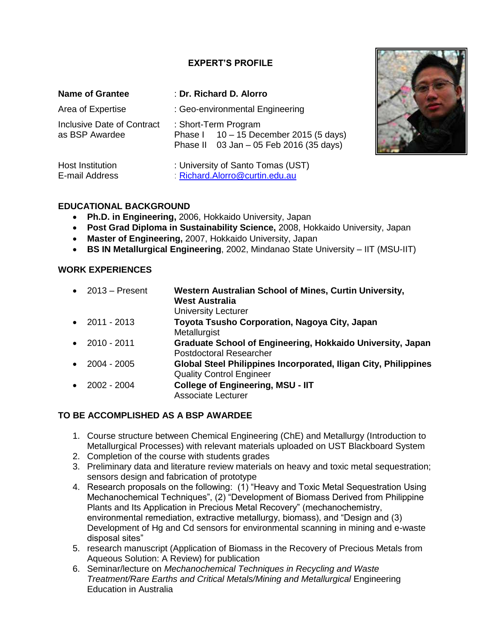## **EXPERT'S PROFILE**

| <b>Name of Grantee</b>                       | : Dr. Richard D. Alorro                                                                                     |
|----------------------------------------------|-------------------------------------------------------------------------------------------------------------|
| Area of Expertise                            | : Geo-environmental Engineering                                                                             |
| Inclusive Date of Contract<br>as BSP Awardee | : Short-Term Program<br>Phase I $10 - 15$ December 2015 (5 days)<br>Phase II 03 Jan - 05 Feb 2016 (35 days) |
| <b>Host Institution</b><br>E-mail Address    | : University of Santo Tomas (UST)<br>: Richard.Alorro@curtin.edu.au                                         |



- **Ph.D. in Engineering,** 2006, Hokkaido University, Japan
- **Post Grad Diploma in Sustainability Science,** 2008, Hokkaido University, Japan
- **Master of Engineering,** 2007, Hokkaido University, Japan
- **BS IN Metallurgical Engineering**, 2002, Mindanao State University IIT (MSU-IIT)

## **WORK EXPERIENCES**

|           | $\bullet$ 2013 – Present | Western Australian School of Mines, Curtin University,<br><b>West Australia</b> |
|-----------|--------------------------|---------------------------------------------------------------------------------|
|           |                          | <b>University Lecturer</b>                                                      |
|           | • $2011 - 2013$          | Toyota Tsusho Corporation, Nagoya City, Japan                                   |
|           |                          | Metallurgist                                                                    |
|           | $\bullet$ 2010 - 2011    | Graduate School of Engineering, Hokkaido University, Japan                      |
|           |                          | Postdoctoral Researcher                                                         |
| $\bullet$ | 2004 - 2005              | Global Steel Philippines Incorporated, Iligan City, Philippines                 |
|           |                          | <b>Quality Control Engineer</b>                                                 |
|           | • $2002 - 2004$          | <b>College of Engineering, MSU - IIT</b>                                        |
|           |                          | <b>Associate Lecturer</b>                                                       |

## **TO BE ACCOMPLISHED AS A BSP AWARDEE**

- 1. Course structure between Chemical Engineering (ChE) and Metallurgy (Introduction to Metallurgical Processes) with relevant materials uploaded on UST Blackboard System
- 2. Completion of the course with students grades
- 3. Preliminary data and literature review materials on heavy and toxic metal sequestration; sensors design and fabrication of prototype
- 4. Research proposals on the following: (1) "Heavy and Toxic Metal Sequestration Using Mechanochemical Techniques", (2) "Development of Biomass Derived from Philippine Plants and Its Application in Precious Metal Recovery" (mechanochemistry, environmental remediation, extractive metallurgy, biomass), and "Design and (3) Development of Hg and Cd sensors for environmental scanning in mining and e-waste disposal sites"
- 5. research manuscript (Application of Biomass in the Recovery of Precious Metals from Aqueous Solution: A Review) for publication
- 6. Seminar/lecture on *Mechanochemical Techniques in Recycling and Waste Treatment/Rare Earths and Critical Metals/Mining and Metallurgical* Engineering Education in Australia